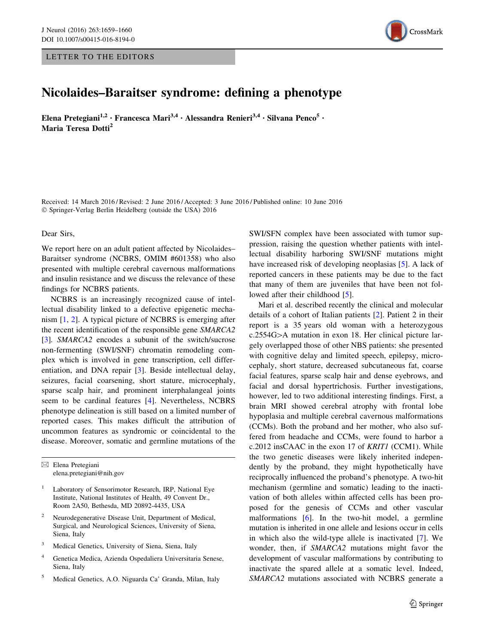## LETTER TO THE EDITORS



## Nicolaides–Baraitser syndrome: defining a phenotype

Elena Pretegiani<sup>1,2</sup> • Francesca Mari<sup>3,4</sup> • Alessandra Renieri<sup>3,4</sup> • Silvana Penco<sup>5</sup> • Maria Teresa Dotti<sup>2</sup>

Received: 14 March 2016 / Revised: 2 June 2016 / Accepted: 3 June 2016 / Published online: 10 June 2016 - Springer-Verlag Berlin Heidelberg (outside the USA) 2016

Dear Sirs,

We report here on an adult patient affected by Nicolaides– Baraitser syndrome (NCBRS, OMIM #601358) who also presented with multiple cerebral cavernous malformations and insulin resistance and we discuss the relevance of these findings for NCBRS patients.

NCBRS is an increasingly recognized cause of intellectual disability linked to a defective epigenetic mechanism [[1,](#page-1-0) [2](#page-1-0)]. A typical picture of NCBRS is emerging after the recent identification of the responsible gene SMARCA2 [\[3](#page-1-0)]. SMARCA2 encodes a subunit of the switch/sucrose non-fermenting (SWI/SNF) chromatin remodeling complex which is involved in gene transcription, cell differentiation, and DNA repair [[3\]](#page-1-0). Beside intellectual delay, seizures, facial coarsening, short stature, microcephaly, sparse scalp hair, and prominent interphalangeal joints seem to be cardinal features [\[4](#page-1-0)]. Nevertheless, NCBRS phenotype delineation is still based on a limited number of reported cases. This makes difficult the attribution of uncommon features as syndromic or coincidental to the disease. Moreover, somatic and germline mutations of the

 $\boxtimes$  Elena Pretegiani elena.pretegiani@nih.gov

<sup>1</sup> Laboratory of Sensorimotor Research, IRP, National Eye Institute, National Institutes of Health, 49 Convent Dr., Room 2A50, Bethesda, MD 20892-4435, USA

- <sup>2</sup> Neurodegenerative Disease Unit, Department of Medical, Surgical, and Neurological Sciences, University of Siena, Siena, Italy
- Medical Genetics, University of Siena, Siena, Italy
- <sup>4</sup> Genetica Medica, Azienda Ospedaliera Universitaria Senese, Siena, Italy
- <sup>5</sup> Medical Genetics, A.O. Niguarda Ca' Granda, Milan, Italy

SWI/SFN complex have been associated with tumor suppression, raising the question whether patients with intellectual disability harboring SWI/SNF mutations might have increased risk of developing neoplasias [[5\]](#page-1-0). A lack of reported cancers in these patients may be due to the fact that many of them are juveniles that have been not fol-lowed after their childhood [\[5\]](#page-1-0).

Mari et al. described recently the clinical and molecular details of a cohort of Italian patients [[2\]](#page-1-0). Patient 2 in their report is a 35 years old woman with a heterozygous  $c.2554G$  $>A$  mutation in exon 18. Her clinical picture largely overlapped those of other NBS patients: she presented with cognitive delay and limited speech, epilepsy, microcephaly, short stature, decreased subcutaneous fat, coarse facial features, sparse scalp hair and dense eyebrows, and facial and dorsal hypertrichosis. Further investigations, however, led to two additional interesting findings. First, a brain MRI showed cerebral atrophy with frontal lobe hypoplasia and multiple cerebral cavernous malformations (CCMs). Both the proband and her mother, who also suffered from headache and CCMs, were found to harbor a c.2012 insCAAC in the exon 17 of KRIT1 (CCM1). While the two genetic diseases were likely inherited independently by the proband, they might hypothetically have reciprocally influenced the proband's phenotype. A two-hit mechanism (germline and somatic) leading to the inactivation of both alleles within affected cells has been proposed for the genesis of CCMs and other vascular malformations [[6\]](#page-1-0). In the two-hit model, a germline mutation is inherited in one allele and lesions occur in cells in which also the wild-type allele is inactivated [\[7](#page-1-0)]. We wonder, then, if SMARCA2 mutations might favor the development of vascular malformations by contributing to inactivate the spared allele at a somatic level. Indeed, SMARCA2 mutations associated with NCBRS generate a